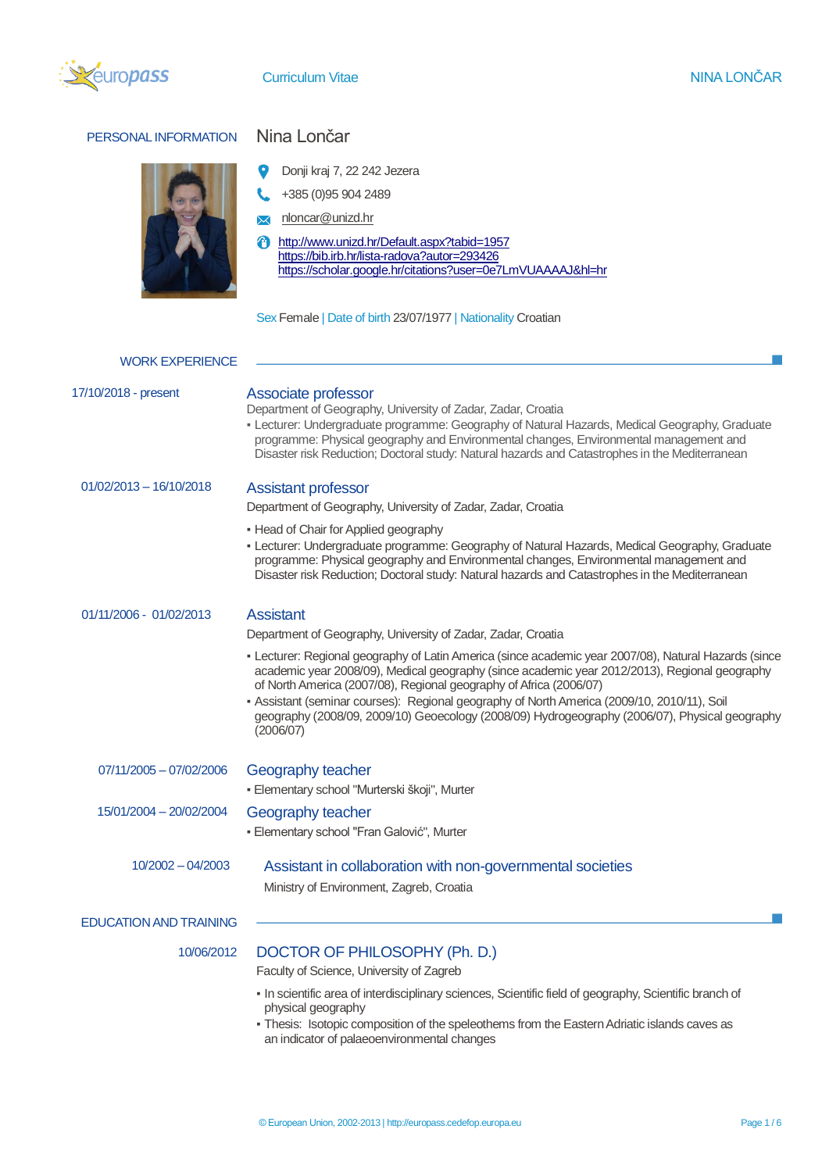

 $\overline{\phantom{a}}$ 

# PERSONAL INFORMATION Nina Lončar



- Donji kraj 7, 22 242 Jezera
- $\leftarrow$  +385 (0)95 904 2489
- M nloncar@unizd.hr
- <http://www.unizd.hr/Default.aspx?tabid=1957> <https://bib.irb.hr/lista-radova?autor=293426> <https://scholar.google.hr/citations?user=0e7LmVUAAAAJ&hl=hr>

Sex Female | Date of birth 23/07/1977 | Nationality Croatian

| <b>WORK EXPERIENCE</b>        |                                                                                                                                                                                                                                                                                                                                                                                                                                                                                            |
|-------------------------------|--------------------------------------------------------------------------------------------------------------------------------------------------------------------------------------------------------------------------------------------------------------------------------------------------------------------------------------------------------------------------------------------------------------------------------------------------------------------------------------------|
| 17/10/2018 - present          | Associate professor<br>Department of Geography, University of Zadar, Zadar, Croatia<br>- Lecturer: Undergraduate programme: Geography of Natural Hazards, Medical Geography, Graduate<br>programme: Physical geography and Environmental changes, Environmental management and<br>Disaster risk Reduction; Doctoral study: Natural hazards and Catastrophes in the Mediterranean                                                                                                           |
| $01/02/2013 - 16/10/2018$     | <b>Assistant professor</b><br>Department of Geography, University of Zadar, Zadar, Croatia<br>• Head of Chair for Applied geography                                                                                                                                                                                                                                                                                                                                                        |
|                               | - Lecturer: Undergraduate programme: Geography of Natural Hazards, Medical Geography, Graduate<br>programme: Physical geography and Environmental changes, Environmental management and<br>Disaster risk Reduction; Doctoral study: Natural hazards and Catastrophes in the Mediterranean                                                                                                                                                                                                  |
| 01/11/2006 - 01/02/2013       | <b>Assistant</b>                                                                                                                                                                                                                                                                                                                                                                                                                                                                           |
|                               | Department of Geography, University of Zadar, Zadar, Croatia                                                                                                                                                                                                                                                                                                                                                                                                                               |
|                               | - Lecturer: Regional geography of Latin America (since academic year 2007/08), Natural Hazards (since<br>academic year 2008/09), Medical geography (since academic year 2012/2013), Regional geography<br>of North America (2007/08), Regional geography of Africa (2006/07)<br>- Assistant (seminar courses): Regional geography of North America (2009/10, 2010/11), Soil<br>geography (2008/09, 2009/10) Geoecology (2008/09) Hydrogeography (2006/07), Physical geography<br>(2006/07) |
| 07/11/2005 - 07/02/2006       | Geography teacher                                                                                                                                                                                                                                                                                                                                                                                                                                                                          |
|                               | · Elementary school "Murterski škoji", Murter                                                                                                                                                                                                                                                                                                                                                                                                                                              |
| 15/01/2004 - 20/02/2004       | Geography teacher                                                                                                                                                                                                                                                                                                                                                                                                                                                                          |
|                               | · Elementary school "Fran Galović", Murter                                                                                                                                                                                                                                                                                                                                                                                                                                                 |
| $10/2002 - 04/2003$           | Assistant in collaboration with non-governmental societies<br>Ministry of Environment, Zagreb, Croatia                                                                                                                                                                                                                                                                                                                                                                                     |
| <b>EDUCATION AND TRAINING</b> |                                                                                                                                                                                                                                                                                                                                                                                                                                                                                            |
| 10/06/2012                    | DOCTOR OF PHILOSOPHY (Ph. D.)<br>Faculty of Science, University of Zagreb<br>- In scientific area of interdisciplinary sciences, Scientific field of geography, Scientific branch of<br>physical geography<br>- Thesis: Isotopic composition of the speleothems from the Eastern Adriatic islands caves as<br>an indicator of palaeoenvironmental changes                                                                                                                                  |
|                               |                                                                                                                                                                                                                                                                                                                                                                                                                                                                                            |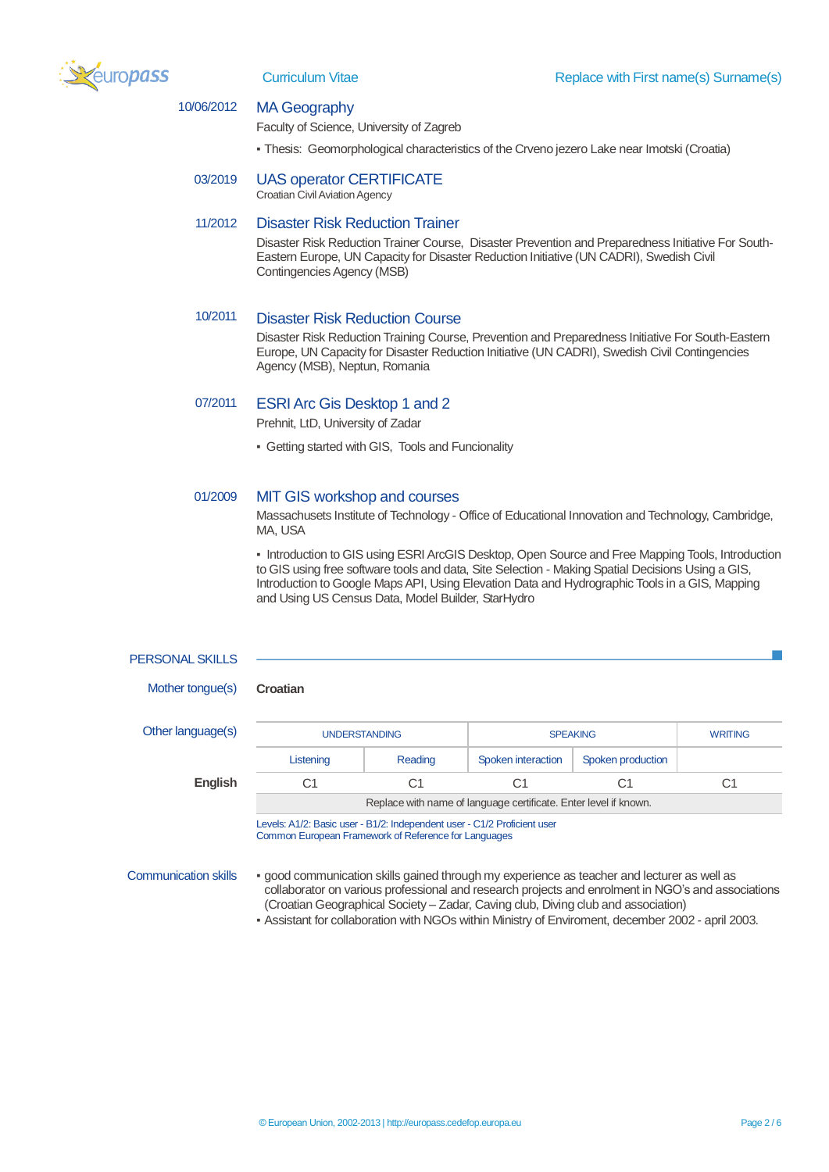

# 10/06/2012 MA Geography

Faculty of Science, University of Zagreb

- Thesis: Geomorphological characteristics of the Crveno jezero Lake near Imotski (Croatia)
- 03/2019 UAS operator CERTIFICATE Croatian Civil Aviation Agency

### 11/2012 Disaster Risk Reduction Trainer

Disaster Risk Reduction Trainer Course, Disaster Prevention and Preparedness Initiative For South-Eastern Europe, UN Capacity for Disaster Reduction Initiative (UN CADRI), Swedish Civil Contingencies Agency (MSB)

### 10/2011 Disaster Risk Reduction Course

Disaster Risk Reduction Training Course, Prevention and Preparedness Initiative For South-Eastern Europe, UN Capacity for Disaster Reduction Initiative (UN CADRI), Swedish Civil Contingencies Agency (MSB), Neptun, Romania

## 07/2011 ESRI Arc Gis Desktop 1 and 2

Prehnit, LtD, University of Zadar

▪ Getting started with GIS, Tools and Funcionality

## 01/2009 MIT GIS workshop and courses

Massachusets Institute of Technology - Office of Educational Innovation and Technology, Cambridge, MA, USA

▪ Introduction to GIS using ESRI ArcGIS Desktop, Open Source and Free Mapping Tools, Introduction to GIS using free software tools and data, Site Selection - Making Spatial Decisions Using a GIS, Introduction to Google Maps API, Using Elevation Data and Hydrographic Tools in a GIS, Mapping and Using US Census Data, Model Builder, StarHydro

### PERSONAL SKILLS

Mother tongue(s) **Croatian**

Other language(s

| quage(s) | <b>UNDERSTANDING</b>                                             |         | <b>SPEAKING</b>    |                   | <b>WRITING</b> |  |  |
|----------|------------------------------------------------------------------|---------|--------------------|-------------------|----------------|--|--|
|          | Listening                                                        | Reading | Spoken interaction | Spoken production |                |  |  |
| English  | C1                                                               | C1      |                    |                   | C1             |  |  |
|          | Replace with name of language certificate. Enter level if known. |         |                    |                   |                |  |  |
|          | $\mathbf{r}$ and $\mathbf{r}$ and $\mathbf{r}$                   |         |                    |                   |                |  |  |

Levels: A1/2: Basic user - B1/2: Independent user - C1/2 Proficient user Common European Framework of Reference for Languages

- Communication skills good communication skills gained through my experience as teacher and lecturer as well as collaborator on various professional and research projects and enrolment in NGO's and associations (Croatian Geographical Society – Zadar, Caving club, Diving club and association)
	- Assistant for collaboration with NGOs within Ministry of Enviroment, december 2002 april 2003.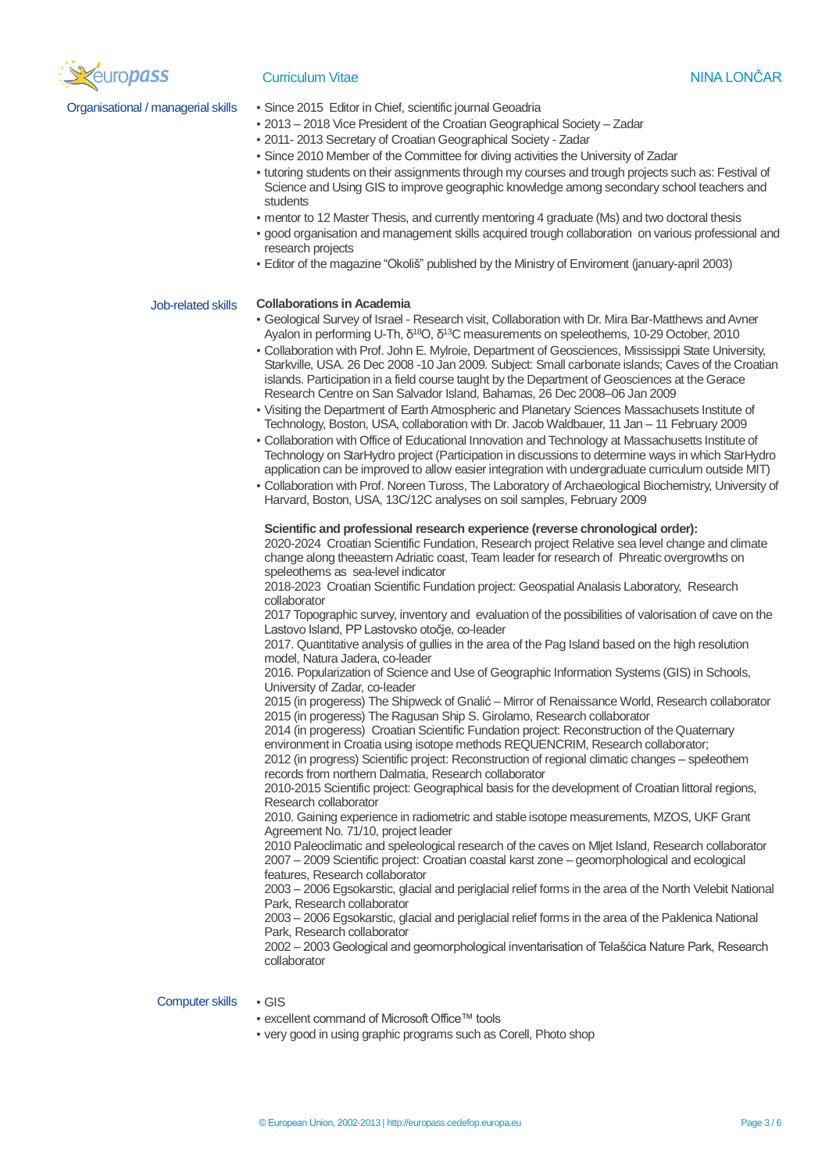

- Organisational / managerial skills Since 2015 Editor in Chief, scientific journal Geoadria
	- 2013 2018 Vice President of the Croatian Geographical Society Zadar
	- 2011- 2013 Secretary of Croatian Geographical Society Zadar
	- Since 2010 Member of the Committee for diving activities the University of Zadar
	- tutoring students on their assignments through my courses and trough projects such as: Festival of Science and Using GIS to improve geographic knowledge among secondary school teachers and students
	- mentor to 12 Master Thesis, and currently mentoring 4 graduate (Ms) and two doctoral thesis
	- good organisation and management skills acquired trough collaboration on various professional and research projects
	- Editor of the magazine "Okoliš" published by the Ministry of Enviroment (january-april 2003)

### Job-related skills **Collaborations in Academia**

- Geological Survey of Israel Research visit, Collaboration with Dr. Mira Bar-Matthews and Avner Ayalon in performing U-Th, δ<sup>18</sup>O, δ<sup>13</sup>C measurements on speleothems, 10-29 October, 2010
- Collaboration with Prof. John E. Mylroie, Department of Geosciences, Mississippi State University, Starkville, USA. 26 Dec 2008 -10 Jan 2009. Subject: Small carbonate islands; Caves of the Croatian islands. Participation in a field course taught by the Department of Geosciences at the Gerace Research Centre on San Salvador Island, Bahamas, 26 Dec 2008–06 Jan 2009
- Visiting the Department of Earth Atmospheric and Planetary Sciences Massachusets Institute of Technology, Boston, USA, collaboration with Dr. Jacob Waldbauer, 11 Jan – 11 February 2009
- Collaboration with Office of Educational Innovation and Technology at Massachusetts Institute of Technology on StarHydro project (Participation in discussions to determine ways in which StarHydro application can be improved to allow easier integration with undergraduate curriculum outside MIT)
- Collaboration with Prof. Noreen Tuross, The Laboratory of Archaeological Biochemistry, University of Harvard, Boston, USA, 13C/12C analyses on soil samples, February 2009

### **Scientific and professional research experience (reverse chronological order):**

2020-2024 Croatian Scientific Fundation, Research project Relative sea level change and climate change along theeastern Adriatic coast, Team leader for research of Phreatic overgrowths on speleothems as sea-level indicator

2018-2023 Croatian Scientific Fundation project: Geospatial Analasis Laboratory, Research collaborator

2017 Topographic survey, inventory and evaluation of the possibilities of valorisation of cave on the Lastovo Island, PP Lastovsko otočje, co-leader

2017. Quantitative analysis of gullies in the area of the Pag Island based on the high resolution model, Natura Jadera, co-leader

2016. Popularization of Science and Use of Geographic Information Systems (GIS) in Schools, University of Zadar, co-leader

2015 (in progeress) The Shipweck of Gnalić – Mirror of Renaissance World, Research collaborator 2015 (in progeress) The Ragusan Ship S. Girolamo, Research collaborator

2014 (in progeress) Croatian Scientific Fundation project: Reconstruction of the Quaternary environment in Croatia using isotope methods REQUENCRIM, Research collaborator;

2012 (in progress) Scientific project: Reconstruction of regional climatic changes – speleothem records from northern Dalmatia, Research collaborator

2010-2015 Scientific project: Geographical basis for the development of Croatian littoral regions, Research collaborator

2010. Gaining experience in radiometric and stable isotope measurements, MZOS, UKF Grant Agreement No. 71/10, project leader

2010 Paleoclimatic and speleological research of the caves on Mljet Island, Research collaborator 2007 – 2009 Scientific project: Croatian coastal karst zone – geomorphological and ecological features, Research collaborator

2003 – 2006 Egsokarstic, glacial and periglacial relief forms in the area of the North Velebit National Park, Research collaborator

2003 – 2006 Egsokarstic, glacial and periglacial relief forms in the area of the Paklenica National Park, Research collaborator

2002 – 2003 Geological and geomorphological inventarisation of Telašćica Nature Park, Research collaborator

## Computer skills • GIS

- excellent command of Microsoft Office™ tools
- very good in using graphic programs such as Corell, Photo shop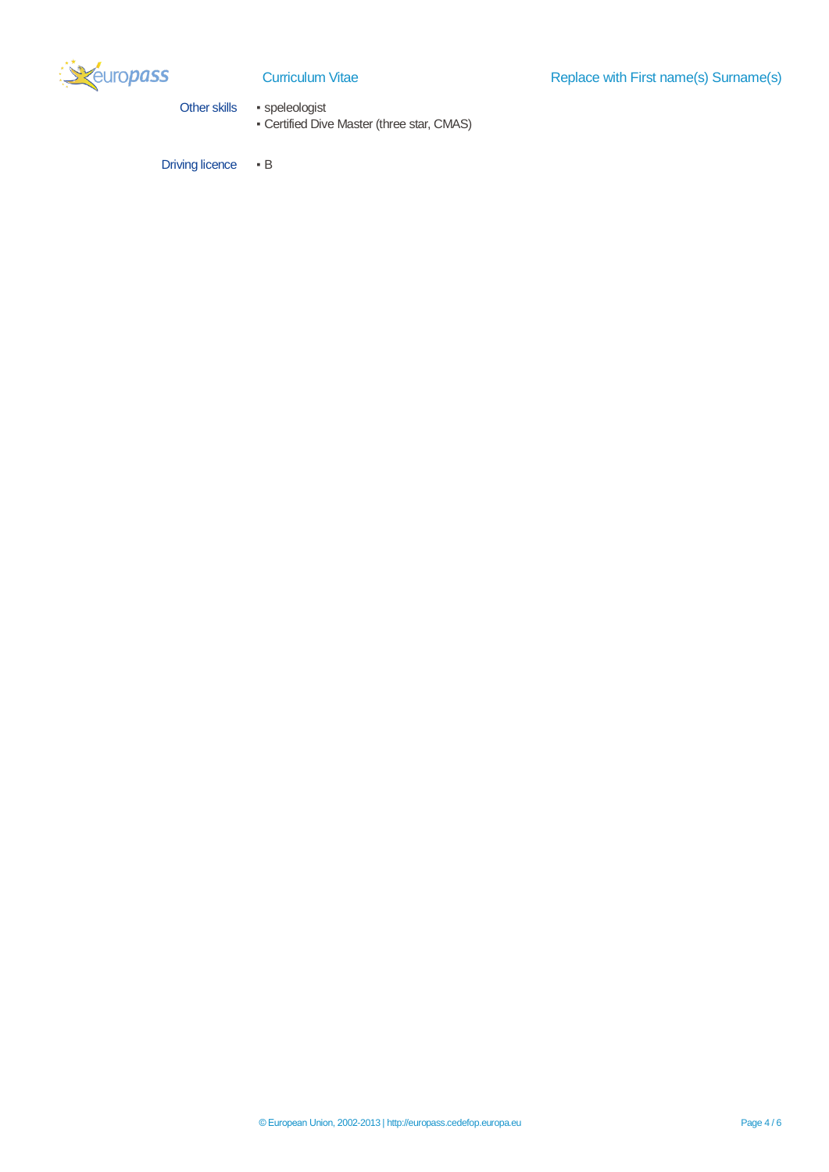

Other skills • speleologist

▪ Certified Dive Master (three star, CMAS)

Driving licence • B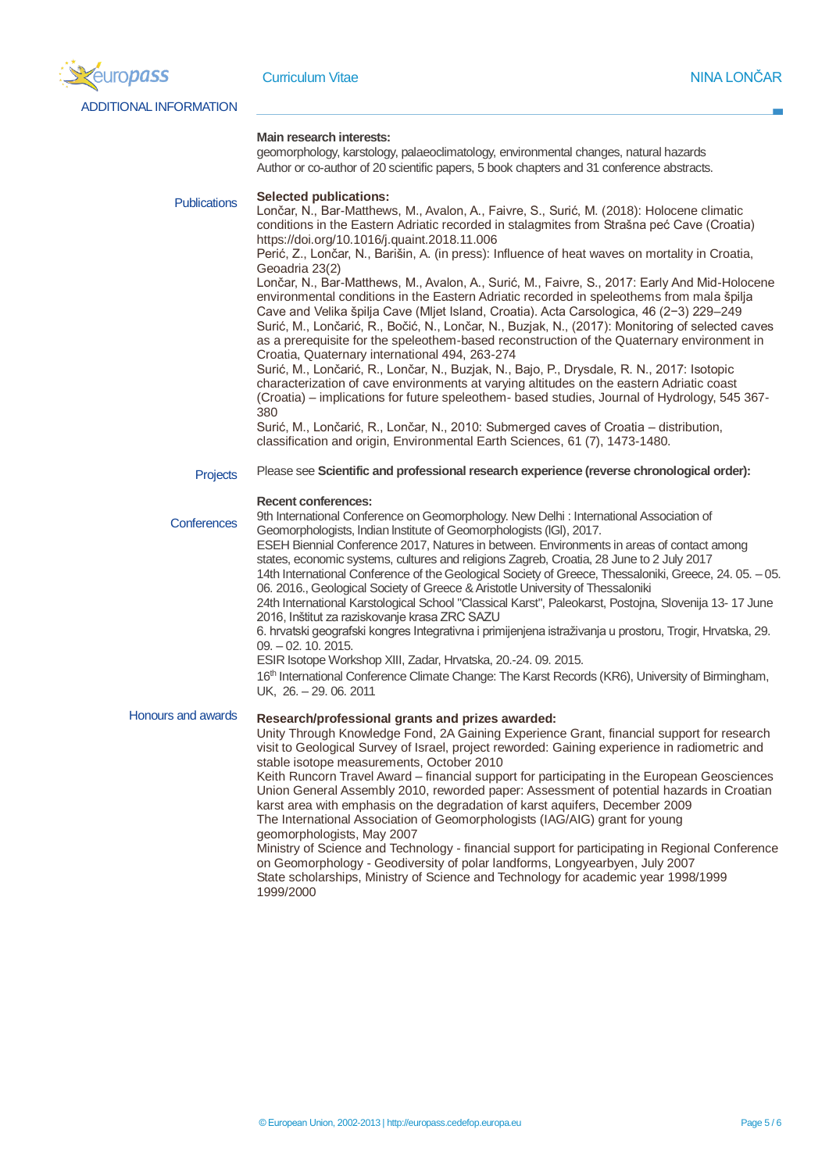

ADDITIONAL INFORMATION

### **Main research interests:**

geomorphology, karstology, palaeoclimatology, environmental changes, natural hazards Author or co-author of 20 scientific papers, 5 book chapters and 31 conference abstracts.

**Publications** 

### **Selected publications:**

Lončar, N., Bar-Matthews, M., Avalon, A., Faivre, S., Surić, M. (2018): Holocene climatic conditions in the Eastern Adriatic recorded in stalagmites from Strašna peć Cave (Croatia) https://doi.org/10.1016/j.quaint.2018.11.006

Perić, Z., Lončar, N., Barišin, A. (in press): Influence of heat waves on mortality in Croatia, Geoadria 23(2)

Lončar, N., Bar-Matthews, M., Avalon, A., Surić, M., Faivre, S., 2017: Early And Mid-Holocene environmental conditions in the Eastern Adriatic recorded in speleothems from mala špilja Cave and Velika špilja Cave (Mljet Island, Croatia). Acta Carsologica, 46 (2−3) 229–249 Surić, M., Lončarić, R., Bočić, N., Lončar, N., Buzjak, N., (2017): Monitoring of selected caves as a prerequisite for the speleothem-based reconstruction of the Quaternary environment in Croatia, Quaternary international 494, 263-274

Surić, M., Lončarić, R., Lončar, N., Buzjak, N., Bajo, P., Drysdale, R. N., 2017: Isotopic characterization of cave environments at varying altitudes on the eastern Adriatic coast (Croatia) – implications for future speleothem- based studies, Journal of Hydrology, 545 367- 380

Surić, M., Lončarić, R., Lončar, N., 2010: Submerged caves of Croatia – distribution, classification and origin, Environmental Earth Sciences, 61 (7), 1473-1480.

**Projects** Please see **Scientific and professional research experience (reverse chronological order):**

### **Recent conferences:**

**Conferences** Honours and awards 9th International Conference on Geomorphology. New Delhi : International Association of Geomorphologists, lndian lnstitute of Geomorphologists (lGl), 2017. ESEH Biennial Conference 2017, Natures in between. Environments in areas of contact among states, economic systems, cultures and religions Zagreb, Croatia, 28 June to 2 July 2017 14th International Conference of the Geological Society of Greece, Thessaloniki, Greece, 24. 05. – 05. 06. 2016., Geological Society of Greece & Aristotle University of Thessaloniki 24th International Karstological School "Classical Karst", Paleokarst, Postojna, Slovenija 13- 17 June 2016, Inštitut za raziskovanje krasa ZRC SAZU 6. hrvatski geografski kongres Integrativna i primijenjena istraživanja u prostoru, Trogir, Hrvatska, 29. 09. – 02. 10. 2015. ESIR Isotope Workshop XIII, Zadar, Hrvatska, 20.-24. 09. 2015. 16 th International Conference Climate Change: The Karst Records (KR6), University of Birmingham, UK, 26. – 29. 06. 2011 **Research/professional grants and prizes awarded:** Unity Through Knowledge Fond, 2A Gaining Experience Grant, financial support for research visit to Geological Survey of Israel, project reworded: Gaining experience in radiometric and stable isotope measurements, October 2010 Keith Runcorn Travel Award – financial support for participating in the European Geosciences Union General Assembly 2010, reworded paper: Assessment of potential hazards in Croatian karst area with emphasis on the degradation of karst aquifers, December 2009 The International Association of Geomorphologists (IAG/AIG) grant for young geomorphologists, May 2007 Ministry of Science and Technology - financial support for participating in Regional Conference on Geomorphology - Geodiversity of polar landforms, Longyearbyen, July 2007

State scholarships, Ministry of Science and Technology for academic year 1998/1999 1999/2000